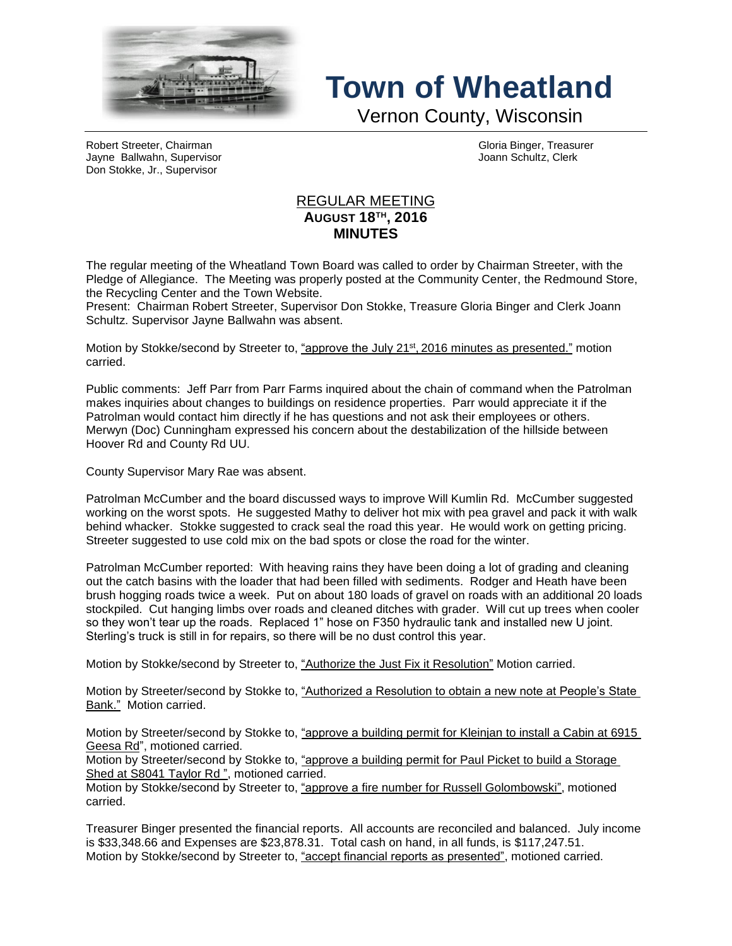

## **Town of Wheatland**

Vernon County, Wisconsin

Robert Streeter, Chairman Gloria Binger, Treasurer Jayne Ballwahn, Supervisor Joann Schultz, Clerk Don Stokke, Jr., Supervisor

## REGULAR MEETING **AUGUST 18TH , 2016 MINUTES**

The regular meeting of the Wheatland Town Board was called to order by Chairman Streeter, with the Pledge of Allegiance. The Meeting was properly posted at the Community Center, the Redmound Store, the Recycling Center and the Town Website.

Present: Chairman Robert Streeter, Supervisor Don Stokke, Treasure Gloria Binger and Clerk Joann Schultz. Supervisor Jayne Ballwahn was absent.

Motion by Stokke/second by Streeter to, <u>"approve the July 21st, 2016 minutes as presented."</u> motion carried.

Public comments: Jeff Parr from Parr Farms inquired about the chain of command when the Patrolman makes inquiries about changes to buildings on residence properties. Parr would appreciate it if the Patrolman would contact him directly if he has questions and not ask their employees or others. Merwyn (Doc) Cunningham expressed his concern about the destabilization of the hillside between Hoover Rd and County Rd UU.

County Supervisor Mary Rae was absent.

Patrolman McCumber and the board discussed ways to improve Will Kumlin Rd. McCumber suggested working on the worst spots. He suggested Mathy to deliver hot mix with pea gravel and pack it with walk behind whacker. Stokke suggested to crack seal the road this year. He would work on getting pricing. Streeter suggested to use cold mix on the bad spots or close the road for the winter.

Patrolman McCumber reported: With heaving rains they have been doing a lot of grading and cleaning out the catch basins with the loader that had been filled with sediments. Rodger and Heath have been brush hogging roads twice a week. Put on about 180 loads of gravel on roads with an additional 20 loads stockpiled. Cut hanging limbs over roads and cleaned ditches with grader. Will cut up trees when cooler so they won't tear up the roads. Replaced 1" hose on F350 hydraulic tank and installed new U joint. Sterling's truck is still in for repairs, so there will be no dust control this year.

Motion by Stokke/second by Streeter to, "Authorize the Just Fix it Resolution" Motion carried.

Motion by Streeter/second by Stokke to, "Authorized a Resolution to obtain a new note at People's State Bank." Motion carried.

Motion by Streeter/second by Stokke to, "approve a building permit for Kleinjan to install a Cabin at 6915 Geesa Rd", motioned carried.

Motion by Streeter/second by Stokke to, "approve a building permit for Paul Picket to build a Storage Shed at S8041 Taylor Rd", motioned carried.

Motion by Stokke/second by Streeter to, "approve a fire number for Russell Golombowski", motioned carried.

Treasurer Binger presented the financial reports. All accounts are reconciled and balanced. July income is \$33,348.66 and Expenses are \$23,878.31. Total cash on hand, in all funds, is \$117,247.51. Motion by Stokke/second by Streeter to, "accept financial reports as presented", motioned carried.